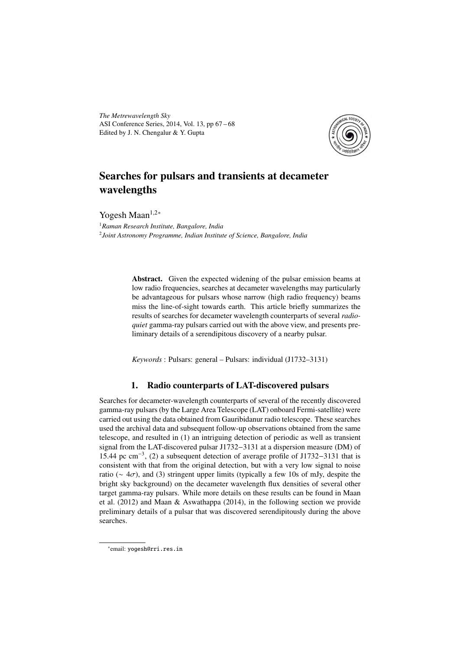*The Metrewavelength Sky* ASI Conference Series, 2014, Vol. 13, pp 67 – 68 Edited by J. N. Chengalur & Y. Gupta



# Searches for pulsars and transients at decameter wavelengths

Yogesh Maan<sup>1,2∗</sup>

<sup>1</sup>*Raman Research Institute, Bangalore, India* 2 *Joint Astronomy Programme, Indian Institute of Science, Bangalore, India*

> Abstract. Given the expected widening of the pulsar emission beams at low radio frequencies, searches at decameter wavelengths may particularly be advantageous for pulsars whose narrow (high radio frequency) beams miss the line-of-sight towards earth. This article briefly summarizes the results of searches for decameter wavelength counterparts of several *radioquiet* gamma-ray pulsars carried out with the above view, and presents preliminary details of a serendipitous discovery of a nearby pulsar.

*Keywords* : Pulsars: general – Pulsars: individual (J1732–3131)

## 1. Radio counterparts of LAT-discovered pulsars

Searches for decameter-wavelength counterparts of several of the recently discovered gamma-ray pulsars (by the Large Area Telescope (LAT) onboard Fermi-satellite) were carried out using the data obtained from Gauribidanur radio telescope. These searches used the archival data and subsequent follow-up observations obtained from the same telescope, and resulted in (1) an intriguing detection of periodic as well as transient signal from the LAT-discovered pulsar J1732−3131 at a dispersion measure (DM) of 15.44 pc cm<sup>−</sup><sup>3</sup> , (2) a subsequent detection of average profile of J1732−3131 that is consistent with that from the original detection, but with a very low signal to noise ratio ( $\sim 4\sigma$ ), and (3) stringent upper limits (typically a few 10s of mJy, despite the bright sky background) on the decameter wavelength flux densities of several other target gamma-ray pulsars. While more details on these results can be found in Maan et al. (2012) and Maan & Aswathappa (2014), in the following section we provide preliminary details of a pulsar that was discovered serendipitously during the above searches.

<sup>∗</sup> email: yogesh@rri.res.in